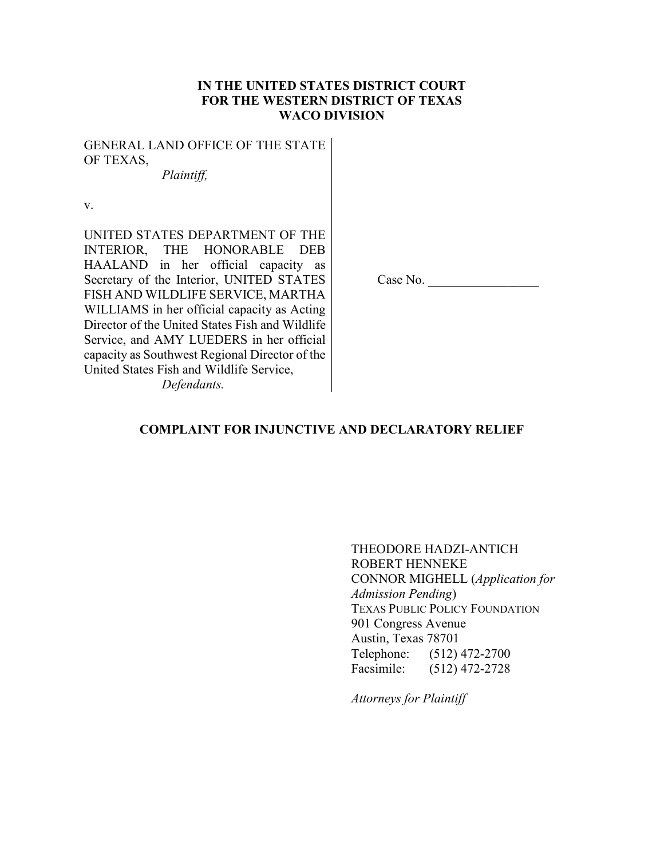# **IN THE UNITED STATES DISTRICT COURT FOR THE WESTERN DISTRICT OF TEXAS WACO DIVISION**

GENERAL LAND OFFICE OF THE STATE OF TEXAS,

*Plaintiff,*

v.

UNITED STATES DEPARTMENT OF THE INTERIOR, THE HONORABLE DEB HAALAND in her official capacity as Secretary of the Interior, UNITED STATES FISH AND WILDLIFE SERVICE, MARTHA WILLIAMS in her official capacity as Acting Director of the United States Fish and Wildlife Service, and AMY LUEDERS in her official capacity as Southwest Regional Director of the United States Fish and Wildlife Service, *Defendants.*

Case No.

## **COMPLAINT FOR INJUNCTIVE AND DECLARATORY RELIEF**

THEODORE HADZI-ANTICH ROBERT HENNEKE CONNOR MIGHELL (*Application for Admission Pending*) TEXAS PUBLIC POLICY FOUNDATION 901 Congress Avenue Austin, Texas 78701 Telephone: (512) 472-2700 Facsimile: (512) 472-2728

*Attorneys for Plaintiff*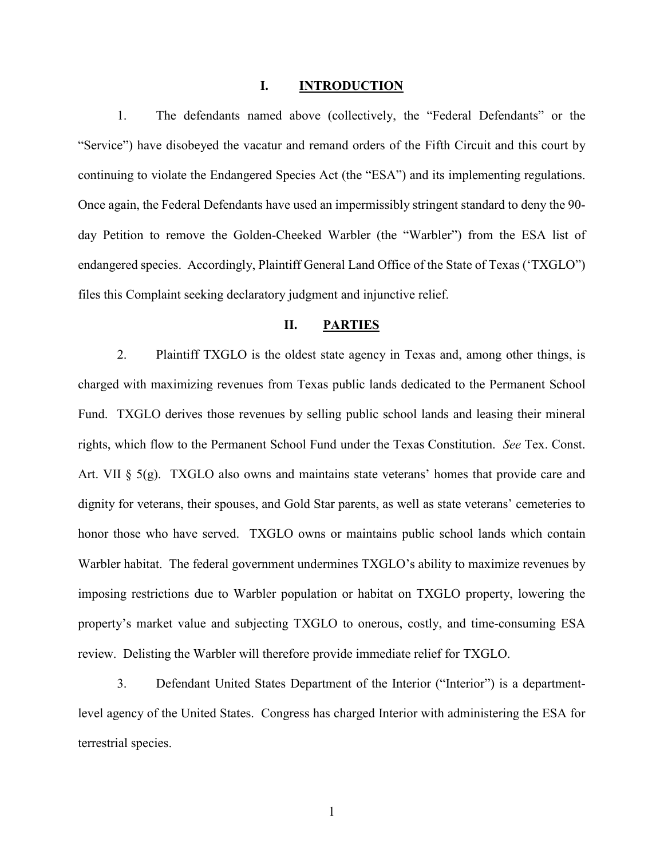#### **I. INTRODUCTION**

1. The defendants named above (collectively, the "Federal Defendants" or the "Service") have disobeyed the vacatur and remand orders of the Fifth Circuit and this court by continuing to violate the Endangered Species Act (the "ESA") and its implementing regulations. Once again, the Federal Defendants have used an impermissibly stringent standard to deny the 90 day Petition to remove the Golden-Cheeked Warbler (the "Warbler") from the ESA list of endangered species. Accordingly, Plaintiff General Land Office of the State of Texas ('TXGLO") files this Complaint seeking declaratory judgment and injunctive relief.

### **II. PARTIES**

2. Plaintiff TXGLO is the oldest state agency in Texas and, among other things, is charged with maximizing revenues from Texas public lands dedicated to the Permanent School Fund. TXGLO derives those revenues by selling public school lands and leasing their mineral rights, which flow to the Permanent School Fund under the Texas Constitution. *See* Tex. Const. Art. VII  $\S$  5(g). TXGLO also owns and maintains state veterans' homes that provide care and dignity for veterans, their spouses, and Gold Star parents, as well as state veterans' cemeteries to honor those who have served. TXGLO owns or maintains public school lands which contain Warbler habitat. The federal government undermines TXGLO's ability to maximize revenues by imposing restrictions due to Warbler population or habitat on TXGLO property, lowering the property's market value and subjecting TXGLO to onerous, costly, and time-consuming ESA review. Delisting the Warbler will therefore provide immediate relief for TXGLO.

3. Defendant United States Department of the Interior ("Interior") is a departmentlevel agency of the United States. Congress has charged Interior with administering the ESA for terrestrial species.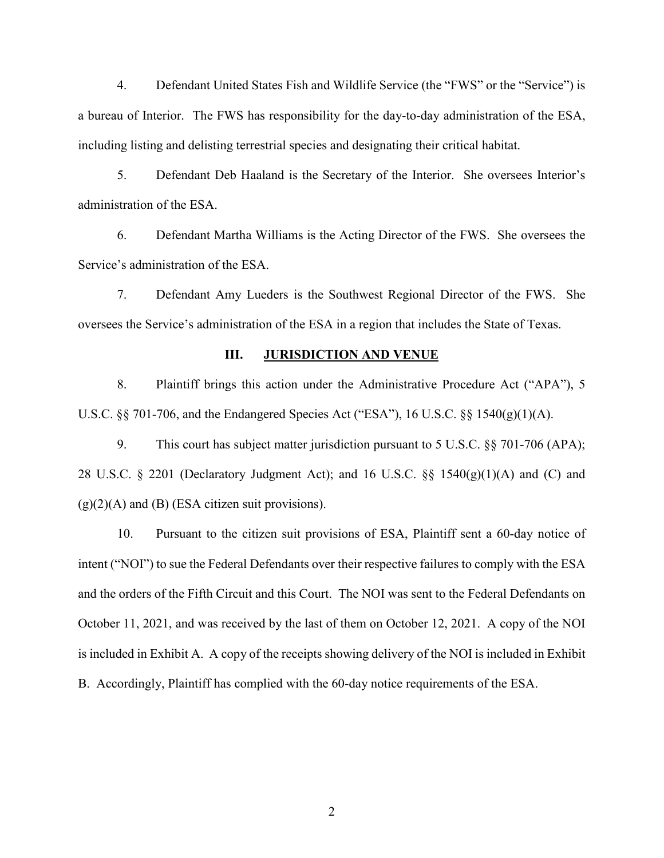4. Defendant United States Fish and Wildlife Service (the "FWS" or the "Service") is a bureau of Interior. The FWS has responsibility for the day-to-day administration of the ESA, including listing and delisting terrestrial species and designating their critical habitat.

5. Defendant Deb Haaland is the Secretary of the Interior. She oversees Interior's administration of the ESA.

6. Defendant Martha Williams is the Acting Director of the FWS. She oversees the Service's administration of the ESA.

7. Defendant Amy Lueders is the Southwest Regional Director of the FWS. She oversees the Service's administration of the ESA in a region that includes the State of Texas.

## **III. JURISDICTION AND VENUE**

8. Plaintiff brings this action under the Administrative Procedure Act ("APA"), 5 U.S.C. §§ 701-706, and the Endangered Species Act ("ESA"), 16 U.S.C. §§ 1540(g)(1)(A).

9. This court has subject matter jurisdiction pursuant to 5 U.S.C. §§ 701-706 (APA); 28 U.S.C. § 2201 (Declaratory Judgment Act); and 16 U.S.C. §§ 1540 $(g)(1)(A)$  and  $(C)$  and  $(g)(2)(A)$  and  $(B)$  (ESA citizen suit provisions).

10. Pursuant to the citizen suit provisions of ESA, Plaintiff sent a 60-day notice of intent ("NOI") to sue the Federal Defendants over their respective failures to comply with the ESA and the orders of the Fifth Circuit and this Court. The NOI was sent to the Federal Defendants on October 11, 2021, and was received by the last of them on October 12, 2021. A copy of the NOI is included in Exhibit A. A copy of the receipts showing delivery of the NOI is included in Exhibit B. Accordingly, Plaintiff has complied with the 60-day notice requirements of the ESA.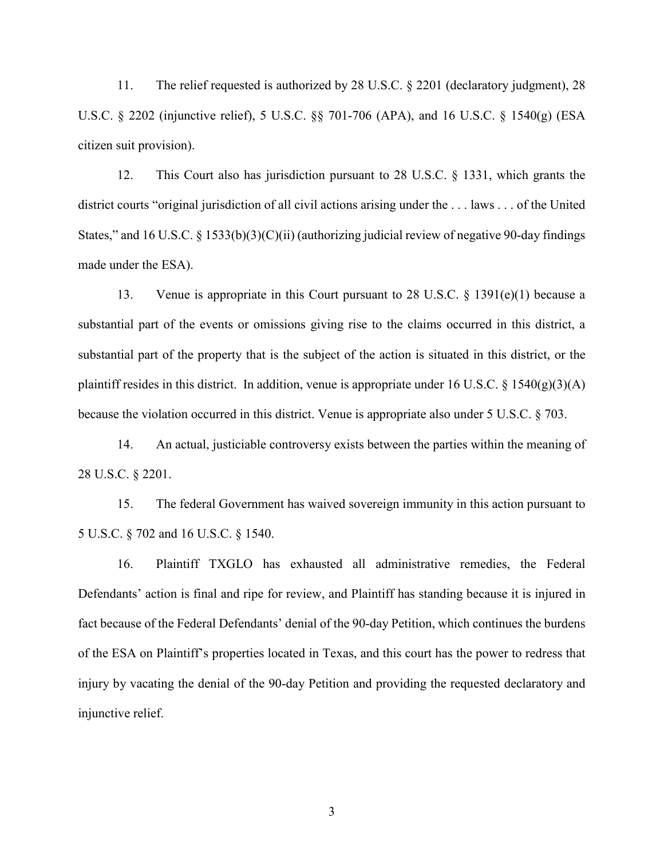11. The relief requested is authorized by 28 U.S.C. § 2201 (declaratory judgment), 28 U.S.C. § 2202 (injunctive relief), 5 U.S.C. §§ 701-706 (APA), and 16 U.S.C. § 1540(g) (ESA citizen suit provision).

12. This Court also has jurisdiction pursuant to 28 U.S.C. § 1331, which grants the district courts "original jurisdiction of all civil actions arising under the . . . laws . . . of the United States," and 16 U.S.C. § 1533(b)(3)(C)(ii) (authorizing judicial review of negative 90-day findings made under the ESA).

13. Venue is appropriate in this Court pursuant to 28 U.S.C. § 1391(e)(1) because a substantial part of the events or omissions giving rise to the claims occurred in this district, a substantial part of the property that is the subject of the action is situated in this district, or the plaintiff resides in this district. In addition, venue is appropriate under 16 U.S.C.  $\S$  1540(g)(3)(A) because the violation occurred in this district. Venue is appropriate also under 5 U.S.C. § 703.

14. An actual, justiciable controversy exists between the parties within the meaning of 28 U.S.C. § 2201.

15. The federal Government has waived sovereign immunity in this action pursuant to 5 U.S.C. § 702 and 16 U.S.C. § 1540.

16. Plaintiff TXGLO has exhausted all administrative remedies, the Federal Defendants' action is final and ripe for review, and Plaintiff has standing because it is injured in fact because of the Federal Defendants' denial of the 90-day Petition, which continues the burdens of the ESA on Plaintiff's properties located in Texas, and this court has the power to redress that injury by vacating the denial of the 90-day Petition and providing the requested declaratory and injunctive relief.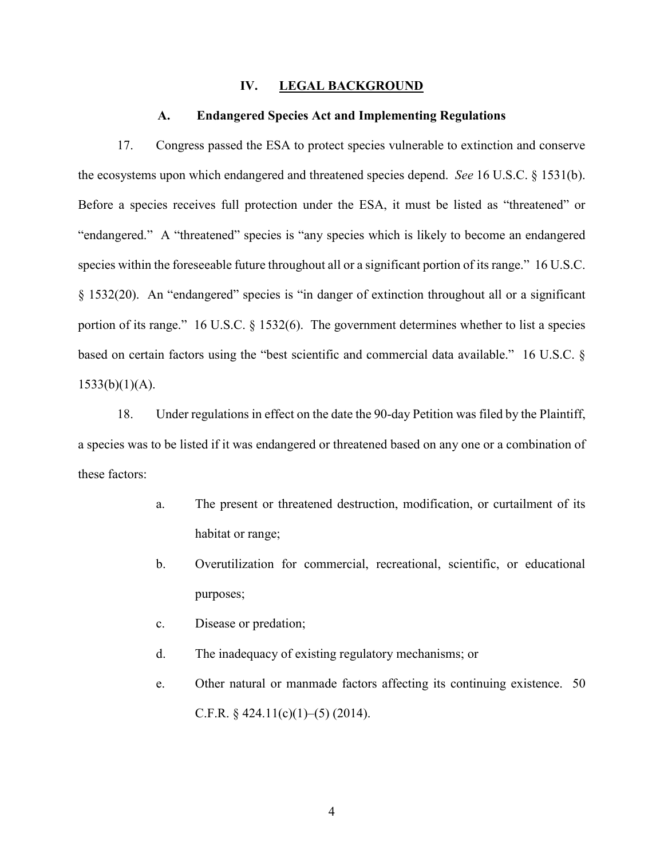#### **IV. LEGAL BACKGROUND**

#### **A. Endangered Species Act and Implementing Regulations**

17. Congress passed the ESA to protect species vulnerable to extinction and conserve the ecosystems upon which endangered and threatened species depend. *See* 16 U.S.C. § 1531(b). Before a species receives full protection under the ESA, it must be listed as "threatened" or "endangered." A "threatened" species is "any species which is likely to become an endangered species within the foreseeable future throughout all or a significant portion of its range." 16 U.S.C. § 1532(20). An "endangered" species is "in danger of extinction throughout all or a significant portion of its range." 16 U.S.C. § 1532(6). The government determines whether to list a species based on certain factors using the "best scientific and commercial data available." 16 U.S.C. §  $1533(b)(1)(A)$ .

18. Under regulations in effect on the date the 90-day Petition was filed by the Plaintiff, a species was to be listed if it was endangered or threatened based on any one or a combination of these factors:

- a. The present or threatened destruction, modification, or curtailment of its habitat or range;
- b. Overutilization for commercial, recreational, scientific, or educational purposes;
- c. Disease or predation;
- d. The inadequacy of existing regulatory mechanisms; or
- e. Other natural or manmade factors affecting its continuing existence. 50 C.F.R.  $\S$  424.11(c)(1)–(5) (2014).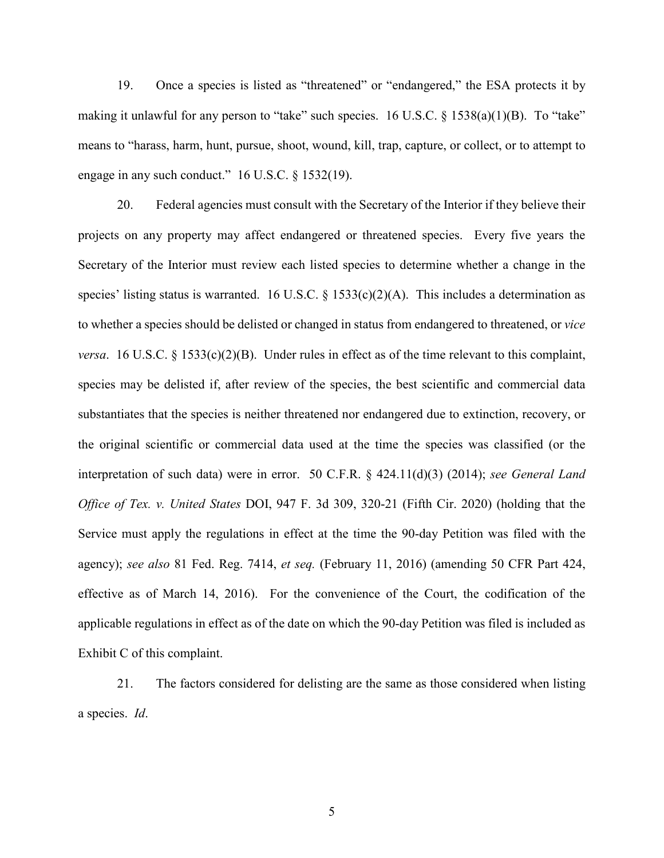19. Once a species is listed as "threatened" or "endangered," the ESA protects it by making it unlawful for any person to "take" such species. 16 U.S.C. § 1538(a)(1)(B). To "take" means to "harass, harm, hunt, pursue, shoot, wound, kill, trap, capture, or collect, or to attempt to engage in any such conduct." 16 U.S.C. § 1532(19).

20. Federal agencies must consult with the Secretary of the Interior if they believe their projects on any property may affect endangered or threatened species. Every five years the Secretary of the Interior must review each listed species to determine whether a change in the species' listing status is warranted. 16 U.S.C. § 1533(c)(2)(A). This includes a determination as to whether a species should be delisted or changed in status from endangered to threatened, or *vice versa.* 16 U.S.C. § 1533 $(c)(2)(B)$ . Under rules in effect as of the time relevant to this complaint, species may be delisted if, after review of the species, the best scientific and commercial data substantiates that the species is neither threatened nor endangered due to extinction, recovery, or the original scientific or commercial data used at the time the species was classified (or the interpretation of such data) were in error. 50 C.F.R. § 424.11(d)(3) (2014); *see General Land Office of Tex. v. United States* DOI, 947 F. 3d 309, 320-21 (Fifth Cir. 2020) (holding that the Service must apply the regulations in effect at the time the 90-day Petition was filed with the agency); *see also* 81 Fed. Reg. 7414, *et seq.* (February 11, 2016) (amending 50 CFR Part 424, effective as of March 14, 2016). For the convenience of the Court, the codification of the applicable regulations in effect as of the date on which the 90-day Petition was filed is included as Exhibit C of this complaint.

21. The factors considered for delisting are the same as those considered when listing a species. *Id*.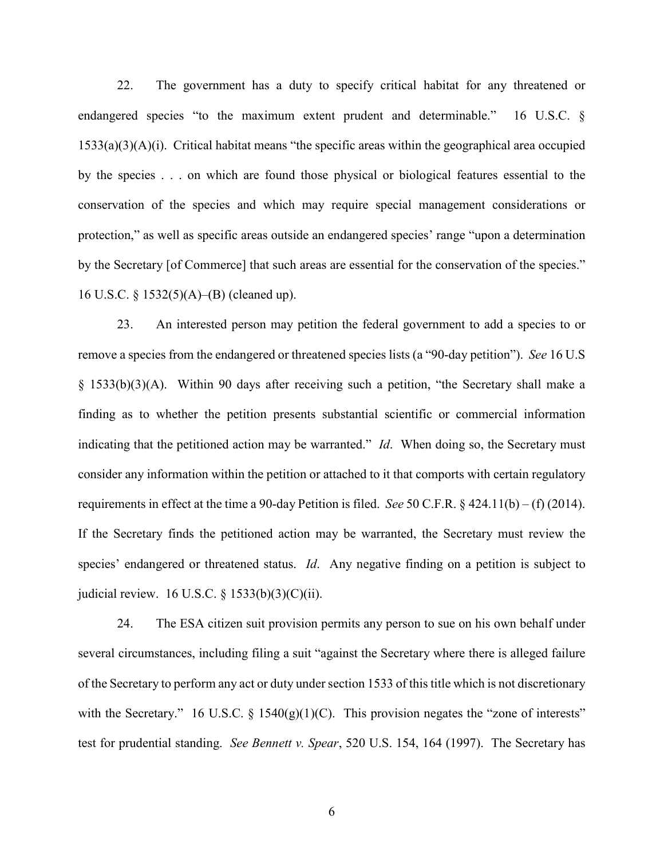22. The government has a duty to specify critical habitat for any threatened or endangered species "to the maximum extent prudent and determinable." 16 U.S.C. § 1533(a)(3)(A)(i). Critical habitat means "the specific areas within the geographical area occupied by the species . . . on which are found those physical or biological features essential to the conservation of the species and which may require special management considerations or protection," as well as specific areas outside an endangered species' range "upon a determination by the Secretary [of Commerce] that such areas are essential for the conservation of the species." 16 U.S.C. § 1532(5)(A)–(B) (cleaned up).

23. An interested person may petition the federal government to add a species to or remove a species from the endangered or threatened species lists (a "90-day petition"). *See* 16 U.S § 1533(b)(3)(A). Within 90 days after receiving such a petition, "the Secretary shall make a finding as to whether the petition presents substantial scientific or commercial information indicating that the petitioned action may be warranted." *Id*. When doing so, the Secretary must consider any information within the petition or attached to it that comports with certain regulatory requirements in effect at the time a 90-day Petition is filed. *See* 50 C.F.R. § 424.11(b) – (f) (2014). If the Secretary finds the petitioned action may be warranted, the Secretary must review the species' endangered or threatened status. *Id*. Any negative finding on a petition is subject to judicial review. 16 U.S.C. § 1533(b)(3)(C)(ii).

24. The ESA citizen suit provision permits any person to sue on his own behalf under several circumstances, including filing a suit "against the Secretary where there is alleged failure of the Secretary to perform any act or duty under section 1533 of this title which is not discretionary with the Secretary." 16 U.S.C. § 1540 $(g)(1)(C)$ . This provision negates the "zone of interests" test for prudential standing. *See Bennett v. Spear*, 520 U.S. 154, 164 (1997). The Secretary has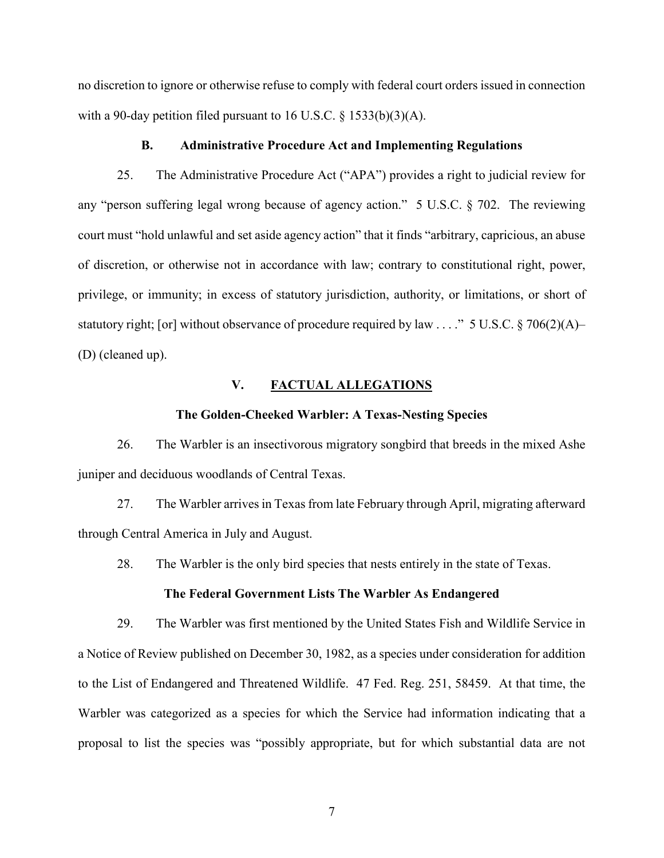no discretion to ignore or otherwise refuse to comply with federal court orders issued in connection with a 90-day petition filed pursuant to 16 U.S.C.  $\S$  1533(b)(3)(A).

### **B. Administrative Procedure Act and Implementing Regulations**

25. The Administrative Procedure Act ("APA") provides a right to judicial review for any "person suffering legal wrong because of agency action." 5 U.S.C. § 702. The reviewing court must "hold unlawful and set aside agency action" that it finds "arbitrary, capricious, an abuse of discretion, or otherwise not in accordance with law; contrary to constitutional right, power, privilege, or immunity; in excess of statutory jurisdiction, authority, or limitations, or short of statutory right; [or] without observance of procedure required by law . . . ." 5 U.S.C. § 706(2)(A)– (D) (cleaned up).

### **V. FACTUAL ALLEGATIONS**

#### **The Golden-Cheeked Warbler: A Texas-Nesting Species**

26. The Warbler is an insectivorous migratory songbird that breeds in the mixed Ashe juniper and deciduous woodlands of Central Texas.

27. The Warbler arrives in Texas from late February through April, migrating afterward through Central America in July and August.

28. The Warbler is the only bird species that nests entirely in the state of Texas.

#### **The Federal Government Lists The Warbler As Endangered**

29. The Warbler was first mentioned by the United States Fish and Wildlife Service in a Notice of Review published on December 30, 1982, as a species under consideration for addition to the List of Endangered and Threatened Wildlife. 47 Fed. Reg. 251, 58459. At that time, the Warbler was categorized as a species for which the Service had information indicating that a proposal to list the species was "possibly appropriate, but for which substantial data are not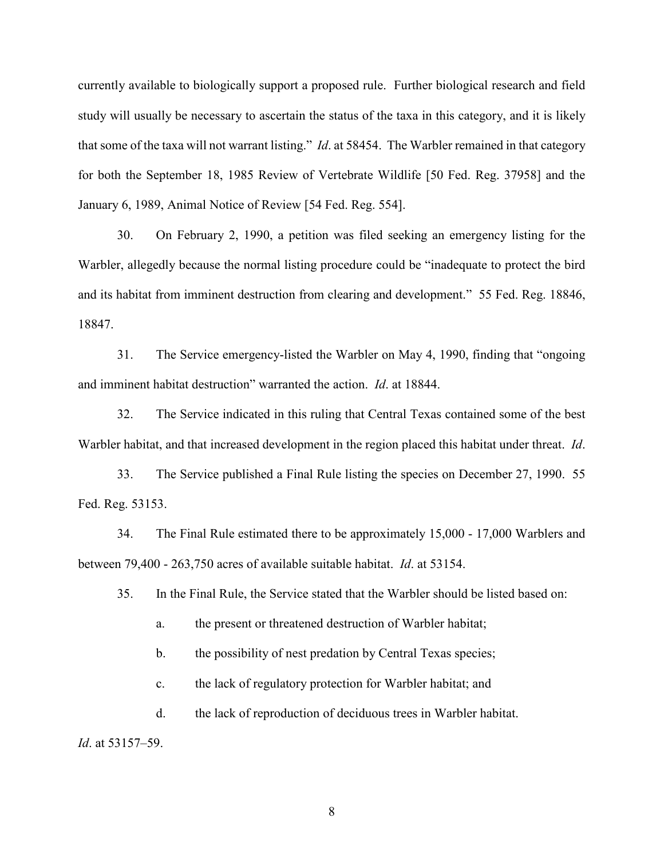currently available to biologically support a proposed rule. Further biological research and field study will usually be necessary to ascertain the status of the taxa in this category, and it is likely that some of the taxa will not warrant listing." *Id*. at 58454. The Warbler remained in that category for both the September 18, 1985 Review of Vertebrate Wildlife [50 Fed. Reg. 37958] and the January 6, 1989, Animal Notice of Review [54 Fed. Reg. 554].

30. On February 2, 1990, a petition was filed seeking an emergency listing for the Warbler, allegedly because the normal listing procedure could be "inadequate to protect the bird and its habitat from imminent destruction from clearing and development." 55 Fed. Reg. 18846, 18847.

31. The Service emergency-listed the Warbler on May 4, 1990, finding that "ongoing and imminent habitat destruction" warranted the action. *Id*. at 18844.

32. The Service indicated in this ruling that Central Texas contained some of the best Warbler habitat, and that increased development in the region placed this habitat under threat. *Id*.

33. The Service published a Final Rule listing the species on December 27, 1990. 55 Fed. Reg. 53153.

34. The Final Rule estimated there to be approximately 15,000 - 17,000 Warblers and between 79,400 - 263,750 acres of available suitable habitat. *Id*. at 53154.

35. In the Final Rule, the Service stated that the Warbler should be listed based on:

a. the present or threatened destruction of Warbler habitat;

b. the possibility of nest predation by Central Texas species;

c. the lack of regulatory protection for Warbler habitat; and

d. the lack of reproduction of deciduous trees in Warbler habitat.

*Id*. at 53157–59.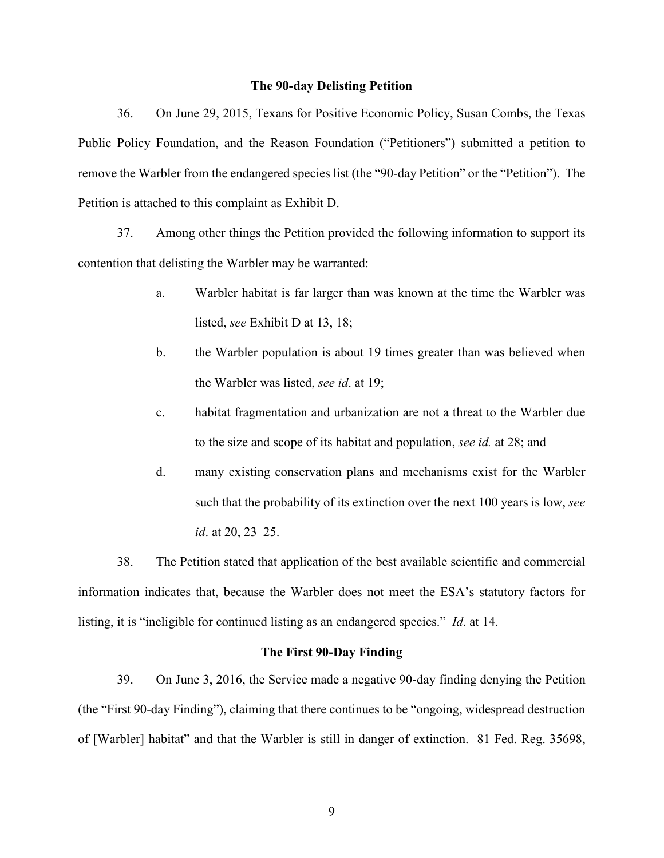#### **The 90-day Delisting Petition**

36. On June 29, 2015, Texans for Positive Economic Policy, Susan Combs, the Texas Public Policy Foundation, and the Reason Foundation ("Petitioners") submitted a petition to remove the Warbler from the endangered species list (the "90-day Petition" or the "Petition"). The Petition is attached to this complaint as Exhibit D.

37. Among other things the Petition provided the following information to support its contention that delisting the Warbler may be warranted:

- a. Warbler habitat is far larger than was known at the time the Warbler was listed, *see* Exhibit D at 13, 18;
- b. the Warbler population is about 19 times greater than was believed when the Warbler was listed, *see id*. at 19;
- c. habitat fragmentation and urbanization are not a threat to the Warbler due to the size and scope of its habitat and population, *see id.* at 28; and
- d. many existing conservation plans and mechanisms exist for the Warbler such that the probability of its extinction over the next 100 years is low, *see id*. at 20, 23–25.

38. The Petition stated that application of the best available scientific and commercial information indicates that, because the Warbler does not meet the ESA's statutory factors for listing, it is "ineligible for continued listing as an endangered species." *Id*. at 14.

## **The First 90-Day Finding**

39. On June 3, 2016, the Service made a negative 90-day finding denying the Petition (the "First 90-day Finding"), claiming that there continues to be "ongoing, widespread destruction of [Warbler] habitat" and that the Warbler is still in danger of extinction. 81 Fed. Reg. 35698,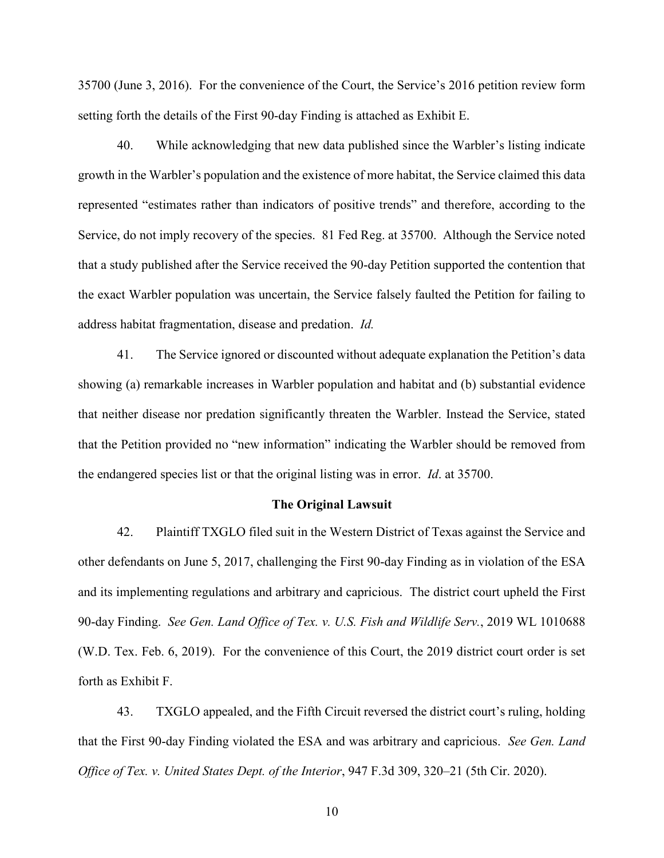35700 (June 3, 2016). For the convenience of the Court, the Service's 2016 petition review form setting forth the details of the First 90-day Finding is attached as Exhibit E.

40. While acknowledging that new data published since the Warbler's listing indicate growth in the Warbler's population and the existence of more habitat, the Service claimed this data represented "estimates rather than indicators of positive trends" and therefore, according to the Service, do not imply recovery of the species. 81 Fed Reg. at 35700. Although the Service noted that a study published after the Service received the 90-day Petition supported the contention that the exact Warbler population was uncertain, the Service falsely faulted the Petition for failing to address habitat fragmentation, disease and predation. *Id.*

41. The Service ignored or discounted without adequate explanation the Petition's data showing (a) remarkable increases in Warbler population and habitat and (b) substantial evidence that neither disease nor predation significantly threaten the Warbler. Instead the Service, stated that the Petition provided no "new information" indicating the Warbler should be removed from the endangered species list or that the original listing was in error. *Id*. at 35700.

#### **The Original Lawsuit**

42. Plaintiff TXGLO filed suit in the Western District of Texas against the Service and other defendants on June 5, 2017, challenging the First 90-day Finding as in violation of the ESA and its implementing regulations and arbitrary and capricious. The district court upheld the First 90-day Finding. *See Gen. Land Office of Tex. v. U.S. Fish and Wildlife Serv.*, 2019 WL 1010688 (W.D. Tex. Feb. 6, 2019). For the convenience of this Court, the 2019 district court order is set forth as Exhibit F.

43. TXGLO appealed, and the Fifth Circuit reversed the district court's ruling, holding that the First 90-day Finding violated the ESA and was arbitrary and capricious. *See Gen. Land Office of Tex. v. United States Dept. of the Interior*, 947 F.3d 309, 320–21 (5th Cir. 2020).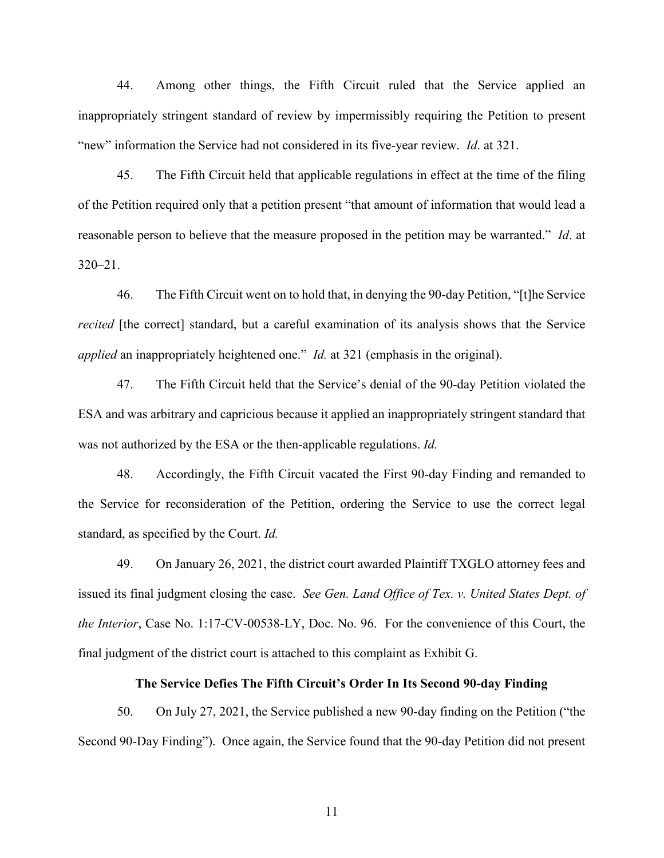44. Among other things, the Fifth Circuit ruled that the Service applied an inappropriately stringent standard of review by impermissibly requiring the Petition to present "new" information the Service had not considered in its five-year review. *Id*. at 321.

45. The Fifth Circuit held that applicable regulations in effect at the time of the filing of the Petition required only that a petition present "that amount of information that would lead a reasonable person to believe that the measure proposed in the petition may be warranted." *Id*. at 320–21.

46. The Fifth Circuit went on to hold that, in denying the 90-day Petition, "[t]he Service *recited* [the correct] standard, but a careful examination of its analysis shows that the Service *applied* an inappropriately heightened one." *Id.* at 321 (emphasis in the original).

47. The Fifth Circuit held that the Service's denial of the 90-day Petition violated the ESA and was arbitrary and capricious because it applied an inappropriately stringent standard that was not authorized by the ESA or the then-applicable regulations. *Id.*

48. Accordingly, the Fifth Circuit vacated the First 90-day Finding and remanded to the Service for reconsideration of the Petition, ordering the Service to use the correct legal standard, as specified by the Court. *Id.*

49. On January 26, 2021, the district court awarded Plaintiff TXGLO attorney fees and issued its final judgment closing the case. *See Gen. Land Office of Tex. v. United States Dept. of the Interior*, Case No. 1:17-CV-00538-LY, Doc. No. 96. For the convenience of this Court, the final judgment of the district court is attached to this complaint as Exhibit G.

### **The Service Defies The Fifth Circuit's Order In Its Second 90-day Finding**

50. On July 27, 2021, the Service published a new 90-day finding on the Petition ("the Second 90-Day Finding"). Once again, the Service found that the 90-day Petition did not present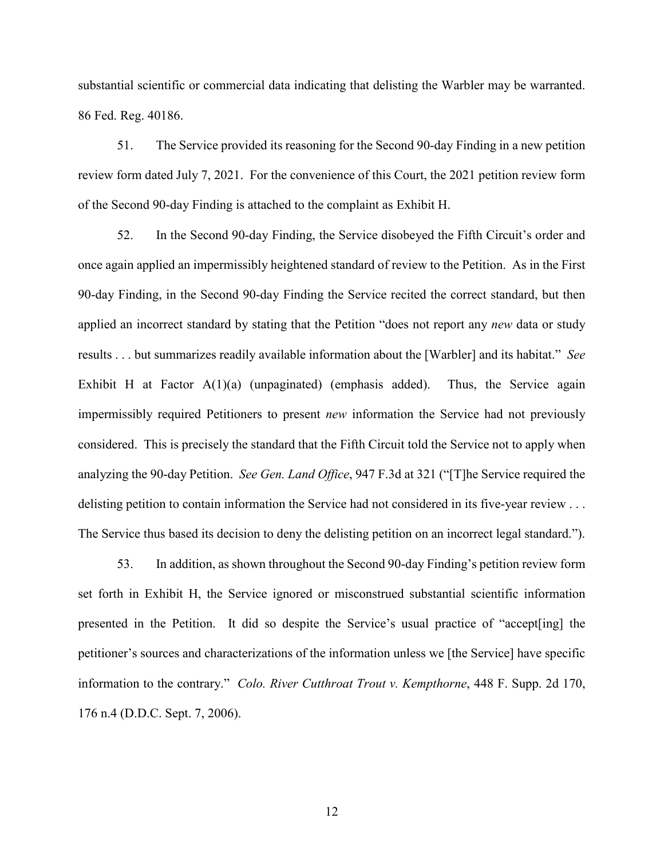substantial scientific or commercial data indicating that delisting the Warbler may be warranted. 86 Fed. Reg. 40186.

51. The Service provided its reasoning for the Second 90-day Finding in a new petition review form dated July 7, 2021. For the convenience of this Court, the 2021 petition review form of the Second 90-day Finding is attached to the complaint as Exhibit H.

52. In the Second 90-day Finding, the Service disobeyed the Fifth Circuit's order and once again applied an impermissibly heightened standard of review to the Petition. As in the First 90-day Finding, in the Second 90-day Finding the Service recited the correct standard, but then applied an incorrect standard by stating that the Petition "does not report any *new* data or study results . . . but summarizes readily available information about the [Warbler] and its habitat." *See*  Exhibit H at Factor  $A(1)(a)$  (unpaginated) (emphasis added). Thus, the Service again impermissibly required Petitioners to present *new* information the Service had not previously considered. This is precisely the standard that the Fifth Circuit told the Service not to apply when analyzing the 90-day Petition. *See Gen. Land Office*, 947 F.3d at 321 ("[T]he Service required the delisting petition to contain information the Service had not considered in its five-year review . . . The Service thus based its decision to deny the delisting petition on an incorrect legal standard.").

53. In addition, as shown throughout the Second 90-day Finding's petition review form set forth in Exhibit H, the Service ignored or misconstrued substantial scientific information presented in the Petition. It did so despite the Service's usual practice of "accept[ing] the petitioner's sources and characterizations of the information unless we [the Service] have specific information to the contrary." *Colo. River Cutthroat Trout v. Kempthorne*, 448 F. Supp. 2d 170, 176 n.4 (D.D.C. Sept. 7, 2006).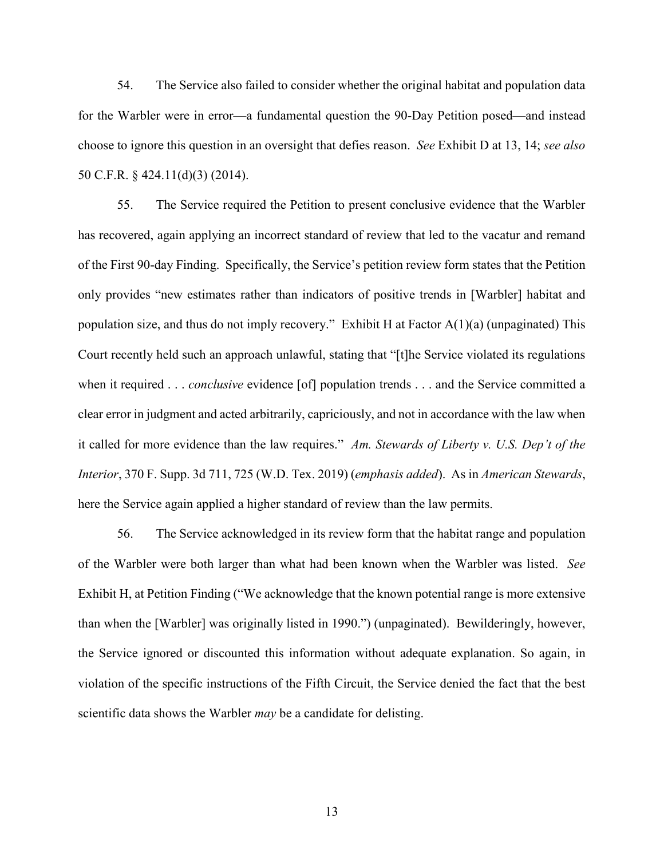54. The Service also failed to consider whether the original habitat and population data for the Warbler were in error—a fundamental question the 90-Day Petition posed—and instead choose to ignore this question in an oversight that defies reason. *See* Exhibit D at 13, 14; *see also* 50 C.F.R. § 424.11(d)(3) (2014).

55. The Service required the Petition to present conclusive evidence that the Warbler has recovered, again applying an incorrect standard of review that led to the vacatur and remand of the First 90-day Finding. Specifically, the Service's petition review form states that the Petition only provides "new estimates rather than indicators of positive trends in [Warbler] habitat and population size, and thus do not imply recovery." Exhibit H at Factor  $A(1)(a)$  (unpaginated) This Court recently held such an approach unlawful, stating that "[t]he Service violated its regulations when it required . . . *conclusive* evidence [of] population trends . . . and the Service committed a clear error in judgment and acted arbitrarily, capriciously, and not in accordance with the law when it called for more evidence than the law requires." *Am. Stewards of Liberty v. U.S. Dep't of the Interior*, 370 F. Supp. 3d 711, 725 (W.D. Tex. 2019) (*emphasis added*). As in *American Stewards*, here the Service again applied a higher standard of review than the law permits.

56. The Service acknowledged in its review form that the habitat range and population of the Warbler were both larger than what had been known when the Warbler was listed. *See* Exhibit H, at Petition Finding ("We acknowledge that the known potential range is more extensive than when the [Warbler] was originally listed in 1990.") (unpaginated). Bewilderingly, however, the Service ignored or discounted this information without adequate explanation. So again, in violation of the specific instructions of the Fifth Circuit, the Service denied the fact that the best scientific data shows the Warbler *may* be a candidate for delisting.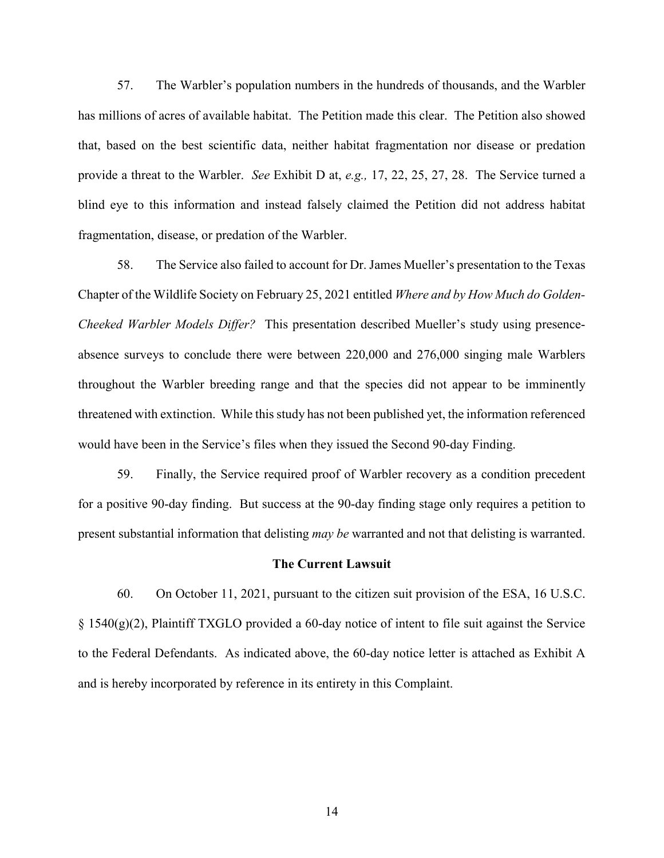57. The Warbler's population numbers in the hundreds of thousands, and the Warbler has millions of acres of available habitat. The Petition made this clear. The Petition also showed that, based on the best scientific data, neither habitat fragmentation nor disease or predation provide a threat to the Warbler. *See* Exhibit D at, *e.g.,* 17, 22, 25, 27, 28. The Service turned a blind eye to this information and instead falsely claimed the Petition did not address habitat fragmentation, disease, or predation of the Warbler.

58. The Service also failed to account for Dr. James Mueller's presentation to the Texas Chapter of the Wildlife Society on February 25, 2021 entitled *Where and by How Much do Golden-Cheeked Warbler Models Differ?* This presentation described Mueller's study using presenceabsence surveys to conclude there were between 220,000 and 276,000 singing male Warblers throughout the Warbler breeding range and that the species did not appear to be imminently threatened with extinction. While this study has not been published yet, the information referenced would have been in the Service's files when they issued the Second 90-day Finding.

59. Finally, the Service required proof of Warbler recovery as a condition precedent for a positive 90-day finding. But success at the 90-day finding stage only requires a petition to present substantial information that delisting *may be* warranted and not that delisting is warranted.

#### **The Current Lawsuit**

60. On October 11, 2021, pursuant to the citizen suit provision of the ESA, 16 U.S.C.  $\S 1540(g)(2)$ , Plaintiff TXGLO provided a 60-day notice of intent to file suit against the Service to the Federal Defendants. As indicated above, the 60-day notice letter is attached as Exhibit A and is hereby incorporated by reference in its entirety in this Complaint.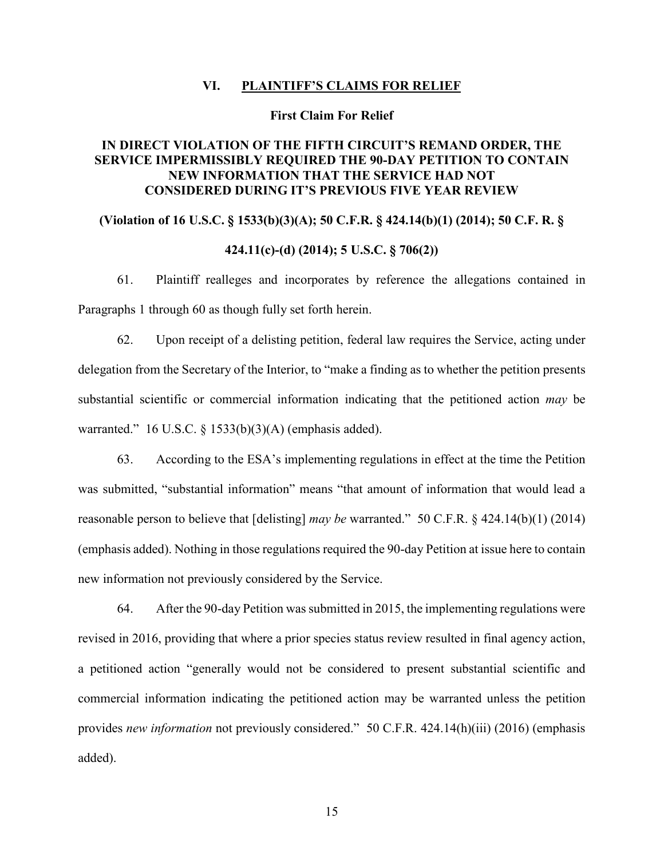### **VI. PLAINTIFF'S CLAIMS FOR RELIEF**

#### **First Claim For Relief**

# **IN DIRECT VIOLATION OF THE FIFTH CIRCUIT'S REMAND ORDER, THE SERVICE IMPERMISSIBLY REQUIRED THE 90-DAY PETITION TO CONTAIN NEW INFORMATION THAT THE SERVICE HAD NOT CONSIDERED DURING IT'S PREVIOUS FIVE YEAR REVIEW**

# **(Violation of 16 U.S.C. § 1533(b)(3)(A); 50 C.F.R. § 424.14(b)(1) (2014); 50 C.F. R. §**

## **424.11(c)-(d) (2014); 5 U.S.C. § 706(2))**

61. Plaintiff realleges and incorporates by reference the allegations contained in Paragraphs 1 through 60 as though fully set forth herein.

62. Upon receipt of a delisting petition, federal law requires the Service, acting under delegation from the Secretary of the Interior, to "make a finding as to whether the petition presents substantial scientific or commercial information indicating that the petitioned action *may* be warranted." 16 U.S.C. § 1533(b)(3)(A) (emphasis added).

63. According to the ESA's implementing regulations in effect at the time the Petition was submitted, "substantial information" means "that amount of information that would lead a reasonable person to believe that [delisting] *may be* warranted." 50 C.F.R. § 424.14(b)(1) (2014) (emphasis added). Nothing in those regulations required the 90-day Petition at issue here to contain new information not previously considered by the Service.

64. After the 90-day Petition was submitted in 2015, the implementing regulations were revised in 2016, providing that where a prior species status review resulted in final agency action, a petitioned action "generally would not be considered to present substantial scientific and commercial information indicating the petitioned action may be warranted unless the petition provides *new information* not previously considered." 50 C.F.R. 424.14(h)(iii) (2016) (emphasis added).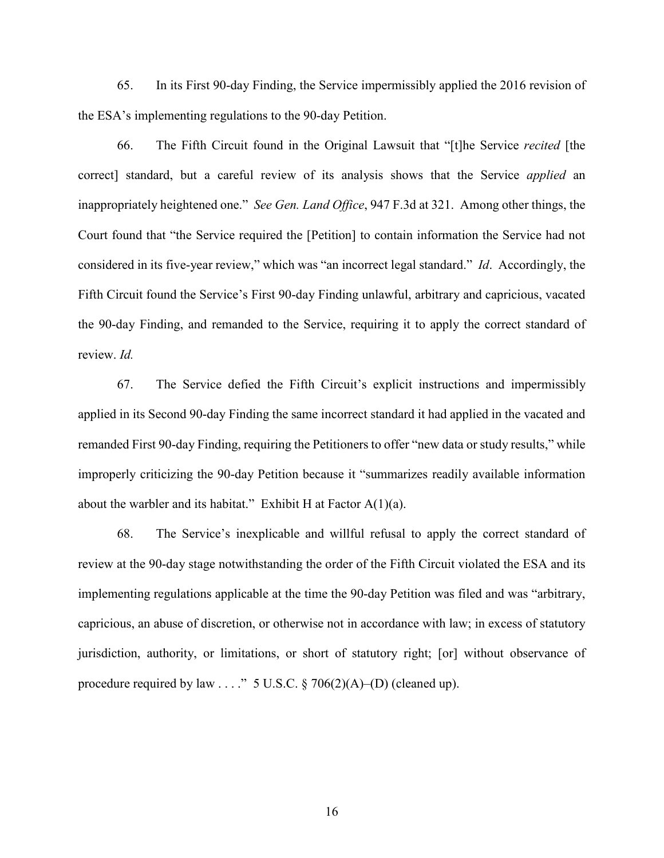65. In its First 90-day Finding, the Service impermissibly applied the 2016 revision of the ESA's implementing regulations to the 90-day Petition.

66. The Fifth Circuit found in the Original Lawsuit that "[t]he Service *recited* [the correct] standard, but a careful review of its analysis shows that the Service *applied* an inappropriately heightened one." *See Gen. Land Office*, 947 F.3d at 321. Among other things, the Court found that "the Service required the [Petition] to contain information the Service had not considered in its five-year review," which was "an incorrect legal standard." *Id*. Accordingly, the Fifth Circuit found the Service's First 90-day Finding unlawful, arbitrary and capricious, vacated the 90-day Finding, and remanded to the Service, requiring it to apply the correct standard of review. *Id.*

67. The Service defied the Fifth Circuit's explicit instructions and impermissibly applied in its Second 90-day Finding the same incorrect standard it had applied in the vacated and remanded First 90-day Finding, requiring the Petitioners to offer "new data or study results," while improperly criticizing the 90-day Petition because it "summarizes readily available information about the warbler and its habitat." Exhibit H at Factor  $A(1)(a)$ .

68. The Service's inexplicable and willful refusal to apply the correct standard of review at the 90-day stage notwithstanding the order of the Fifth Circuit violated the ESA and its implementing regulations applicable at the time the 90-day Petition was filed and was "arbitrary, capricious, an abuse of discretion, or otherwise not in accordance with law; in excess of statutory jurisdiction, authority, or limitations, or short of statutory right; [or] without observance of procedure required by law  $\dots$ ." 5 U.S.C. § 706(2)(A)–(D) (cleaned up).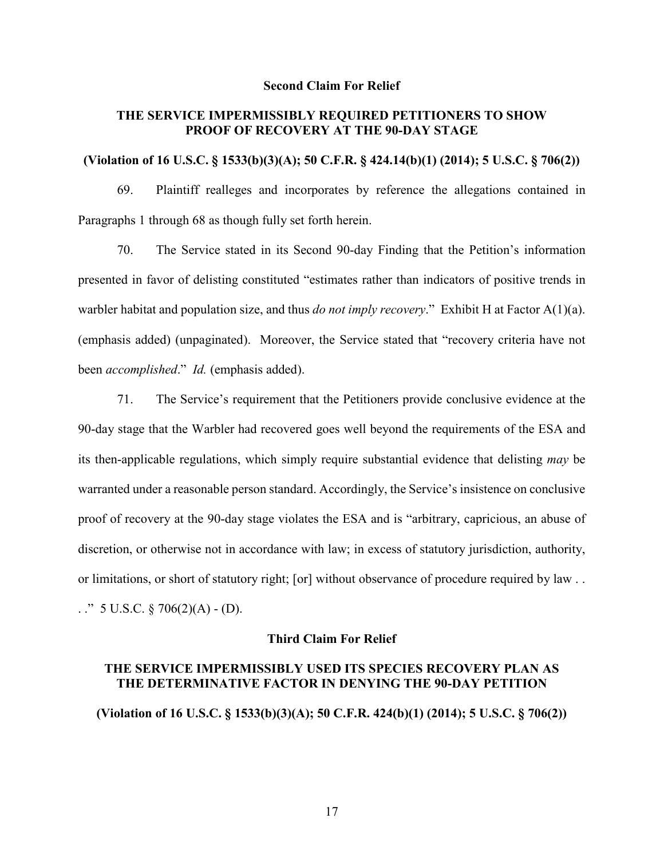#### **Second Claim For Relief**

## **THE SERVICE IMPERMISSIBLY REQUIRED PETITIONERS TO SHOW PROOF OF RECOVERY AT THE 90-DAY STAGE**

### **(Violation of 16 U.S.C. § 1533(b)(3)(A); 50 C.F.R. § 424.14(b)(1) (2014); 5 U.S.C. § 706(2))**

69. Plaintiff realleges and incorporates by reference the allegations contained in Paragraphs 1 through 68 as though fully set forth herein.

70. The Service stated in its Second 90-day Finding that the Petition's information presented in favor of delisting constituted "estimates rather than indicators of positive trends in warbler habitat and population size, and thus *do not imply recovery*." Exhibit H at Factor A(1)(a). (emphasis added) (unpaginated). Moreover, the Service stated that "recovery criteria have not been *accomplished*." *Id.* (emphasis added).

71. The Service's requirement that the Petitioners provide conclusive evidence at the 90-day stage that the Warbler had recovered goes well beyond the requirements of the ESA and its then-applicable regulations, which simply require substantial evidence that delisting *may* be warranted under a reasonable person standard. Accordingly, the Service's insistence on conclusive proof of recovery at the 90-day stage violates the ESA and is "arbitrary, capricious, an abuse of discretion, or otherwise not in accordance with law; in excess of statutory jurisdiction, authority, or limitations, or short of statutory right; [or] without observance of procedure required by law . . . ." 5 U.S.C.  $\S 706(2)(A) - (D)$ .

## **Third Claim For Relief**

## **THE SERVICE IMPERMISSIBLY USED ITS SPECIES RECOVERY PLAN AS THE DETERMINATIVE FACTOR IN DENYING THE 90-DAY PETITION**

**(Violation of 16 U.S.C. § 1533(b)(3)(A); 50 C.F.R. 424(b)(1) (2014); 5 U.S.C. § 706(2))**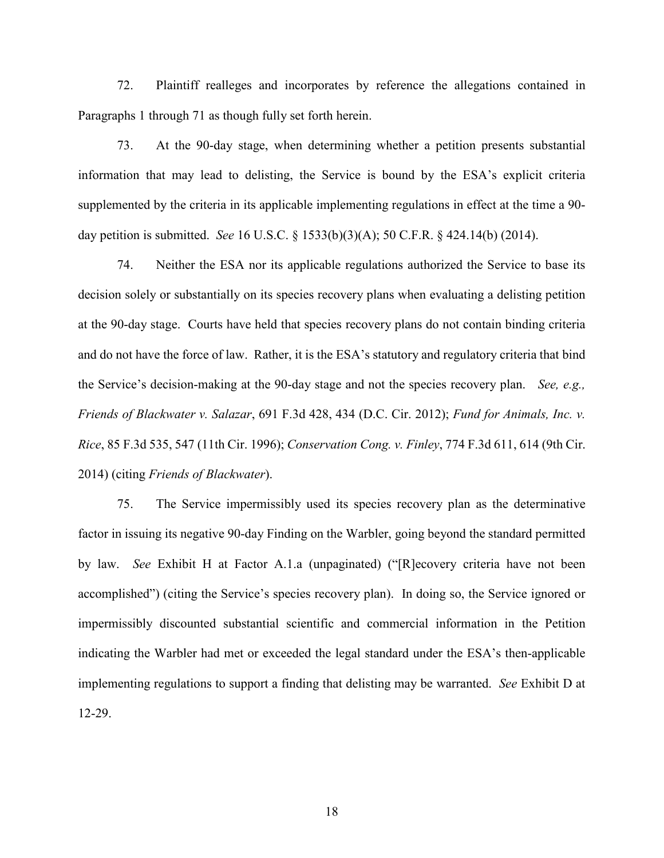72. Plaintiff realleges and incorporates by reference the allegations contained in Paragraphs 1 through 71 as though fully set forth herein.

73. At the 90-day stage, when determining whether a petition presents substantial information that may lead to delisting, the Service is bound by the ESA's explicit criteria supplemented by the criteria in its applicable implementing regulations in effect at the time a 90 day petition is submitted. *See* 16 U.S.C. § 1533(b)(3)(A); 50 C.F.R. § 424.14(b) (2014).

74. Neither the ESA nor its applicable regulations authorized the Service to base its decision solely or substantially on its species recovery plans when evaluating a delisting petition at the 90-day stage. Courts have held that species recovery plans do not contain binding criteria and do not have the force of law. Rather, it is the ESA's statutory and regulatory criteria that bind the Service's decision-making at the 90-day stage and not the species recovery plan. *See, e.g., Friends of Blackwater v. Salazar*, 691 F.3d 428, 434 (D.C. Cir. 2012); *Fund for Animals, Inc. v. Rice*, 85 F.3d 535, 547 (11th Cir. 1996); *Conservation Cong. v. Finley*, 774 F.3d 611, 614 (9th Cir. 2014) (citing *Friends of Blackwater*).

75. The Service impermissibly used its species recovery plan as the determinative factor in issuing its negative 90-day Finding on the Warbler, going beyond the standard permitted by law. *See* Exhibit H at Factor A.1.a (unpaginated) ("[R]ecovery criteria have not been accomplished") (citing the Service's species recovery plan). In doing so, the Service ignored or impermissibly discounted substantial scientific and commercial information in the Petition indicating the Warbler had met or exceeded the legal standard under the ESA's then-applicable implementing regulations to support a finding that delisting may be warranted. *See* Exhibit D at 12-29.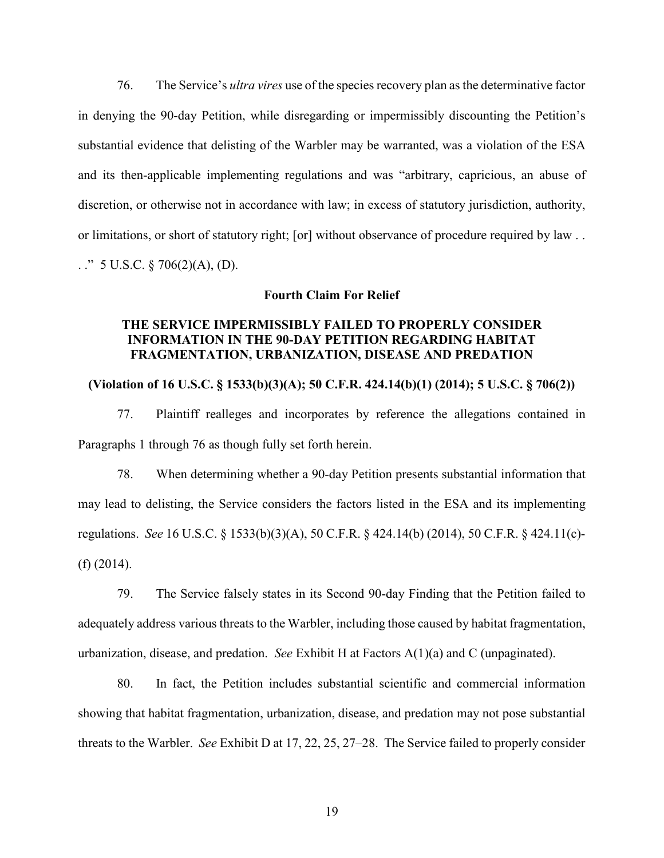76. The Service's *ultra vires* use of the species recovery plan as the determinative factor in denying the 90-day Petition, while disregarding or impermissibly discounting the Petition's substantial evidence that delisting of the Warbler may be warranted, was a violation of the ESA and its then-applicable implementing regulations and was "arbitrary, capricious, an abuse of discretion, or otherwise not in accordance with law; in excess of statutory jurisdiction, authority, or limitations, or short of statutory right; [or] without observance of procedure required by law . . . ." 5 U.S.C. § 706(2)(A), (D).

### **Fourth Claim For Relief**

## **THE SERVICE IMPERMISSIBLY FAILED TO PROPERLY CONSIDER INFORMATION IN THE 90-DAY PETITION REGARDING HABITAT FRAGMENTATION, URBANIZATION, DISEASE AND PREDATION**

## **(Violation of 16 U.S.C. § 1533(b)(3)(A); 50 C.F.R. 424.14(b)(1) (2014); 5 U.S.C. § 706(2))**

77. Plaintiff realleges and incorporates by reference the allegations contained in Paragraphs 1 through 76 as though fully set forth herein.

78. When determining whether a 90-day Petition presents substantial information that may lead to delisting, the Service considers the factors listed in the ESA and its implementing regulations. *See* 16 U.S.C. § 1533(b)(3)(A), 50 C.F.R. § 424.14(b) (2014), 50 C.F.R. § 424.11(c)- (f) (2014).

79. The Service falsely states in its Second 90-day Finding that the Petition failed to adequately address various threats to the Warbler, including those caused by habitat fragmentation, urbanization, disease, and predation. *See* Exhibit H at Factors A(1)(a) and C (unpaginated).

80. In fact, the Petition includes substantial scientific and commercial information showing that habitat fragmentation, urbanization, disease, and predation may not pose substantial threats to the Warbler. *See* Exhibit D at 17, 22, 25, 27–28. The Service failed to properly consider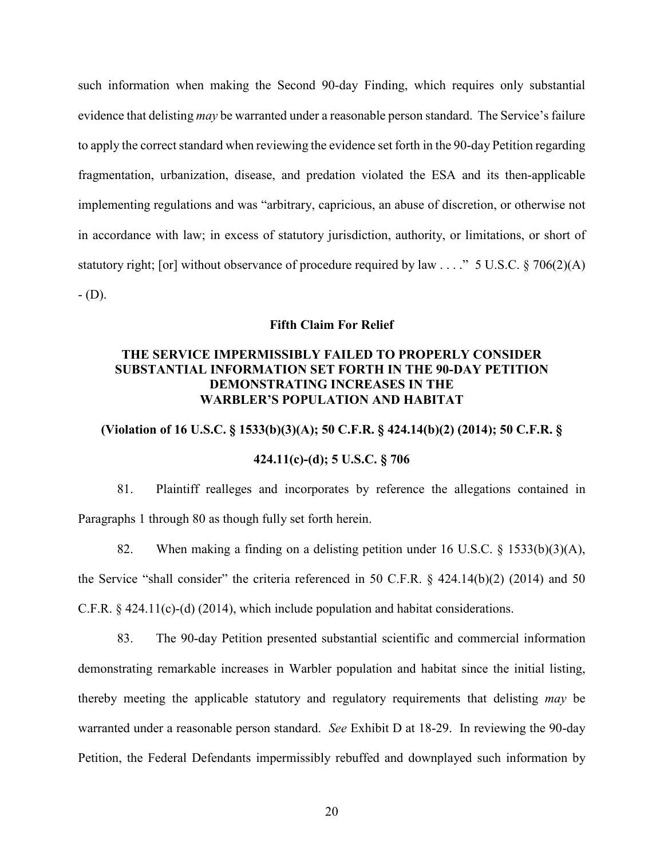such information when making the Second 90-day Finding, which requires only substantial evidence that delisting *may* be warranted under a reasonable person standard. The Service's failure to apply the correct standard when reviewing the evidence set forth in the 90-day Petition regarding fragmentation, urbanization, disease, and predation violated the ESA and its then-applicable implementing regulations and was "arbitrary, capricious, an abuse of discretion, or otherwise not in accordance with law; in excess of statutory jurisdiction, authority, or limitations, or short of statutory right; [or] without observance of procedure required by law . . . ." 5 U.S.C. § 706(2)(A)  $-$  (D).

## **Fifth Claim For Relief**

## **THE SERVICE IMPERMISSIBLY FAILED TO PROPERLY CONSIDER SUBSTANTIAL INFORMATION SET FORTH IN THE 90-DAY PETITION DEMONSTRATING INCREASES IN THE WARBLER'S POPULATION AND HABITAT**

# **(Violation of 16 U.S.C. § 1533(b)(3)(A); 50 C.F.R. § 424.14(b)(2) (2014); 50 C.F.R. §**

## **424.11(c)-(d); 5 U.S.C. § 706**

81. Plaintiff realleges and incorporates by reference the allegations contained in Paragraphs 1 through 80 as though fully set forth herein.

82. When making a finding on a delisting petition under 16 U.S.C. § 1533(b)(3)(A), the Service "shall consider" the criteria referenced in 50 C.F.R. § 424.14(b)(2) (2014) and 50 C.F.R. § 424.11(c)-(d) (2014), which include population and habitat considerations.

83. The 90-day Petition presented substantial scientific and commercial information demonstrating remarkable increases in Warbler population and habitat since the initial listing, thereby meeting the applicable statutory and regulatory requirements that delisting *may* be warranted under a reasonable person standard. *See* Exhibit D at 18-29. In reviewing the 90-day Petition, the Federal Defendants impermissibly rebuffed and downplayed such information by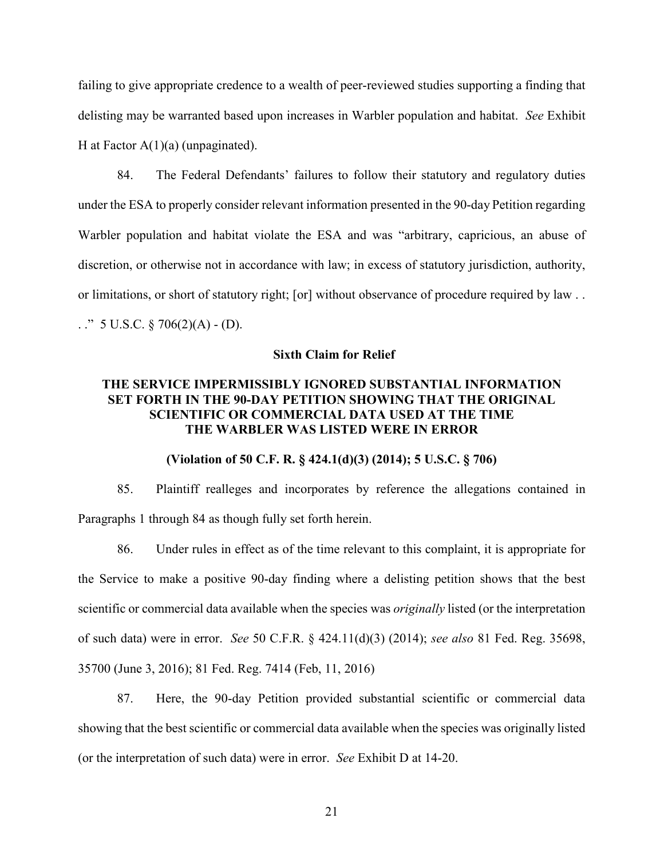failing to give appropriate credence to a wealth of peer-reviewed studies supporting a finding that delisting may be warranted based upon increases in Warbler population and habitat. *See* Exhibit H at Factor  $A(1)(a)$  (unpaginated).

84. The Federal Defendants' failures to follow their statutory and regulatory duties under the ESA to properly consider relevant information presented in the 90-day Petition regarding Warbler population and habitat violate the ESA and was "arbitrary, capricious, an abuse of discretion, or otherwise not in accordance with law; in excess of statutory jurisdiction, authority, or limitations, or short of statutory right; [or] without observance of procedure required by law . . . ." 5 U.S.C.  $\S 706(2)(A) - (D)$ .

#### **Sixth Claim for Relief**

## **THE SERVICE IMPERMISSIBLY IGNORED SUBSTANTIAL INFORMATION SET FORTH IN THE 90-DAY PETITION SHOWING THAT THE ORIGINAL SCIENTIFIC OR COMMERCIAL DATA USED AT THE TIME THE WARBLER WAS LISTED WERE IN ERROR**

## **(Violation of 50 C.F. R. § 424.1(d)(3) (2014); 5 U.S.C. § 706)**

85. Plaintiff realleges and incorporates by reference the allegations contained in Paragraphs 1 through 84 as though fully set forth herein.

86. Under rules in effect as of the time relevant to this complaint, it is appropriate for the Service to make a positive 90-day finding where a delisting petition shows that the best scientific or commercial data available when the species was *originally* listed (or the interpretation of such data) were in error. *See* 50 C.F.R. § 424.11(d)(3) (2014); *see also* 81 Fed. Reg. 35698, 35700 (June 3, 2016); 81 Fed. Reg. 7414 (Feb, 11, 2016)

87. Here, the 90-day Petition provided substantial scientific or commercial data showing that the best scientific or commercial data available when the species was originally listed (or the interpretation of such data) were in error. *See* Exhibit D at 14-20.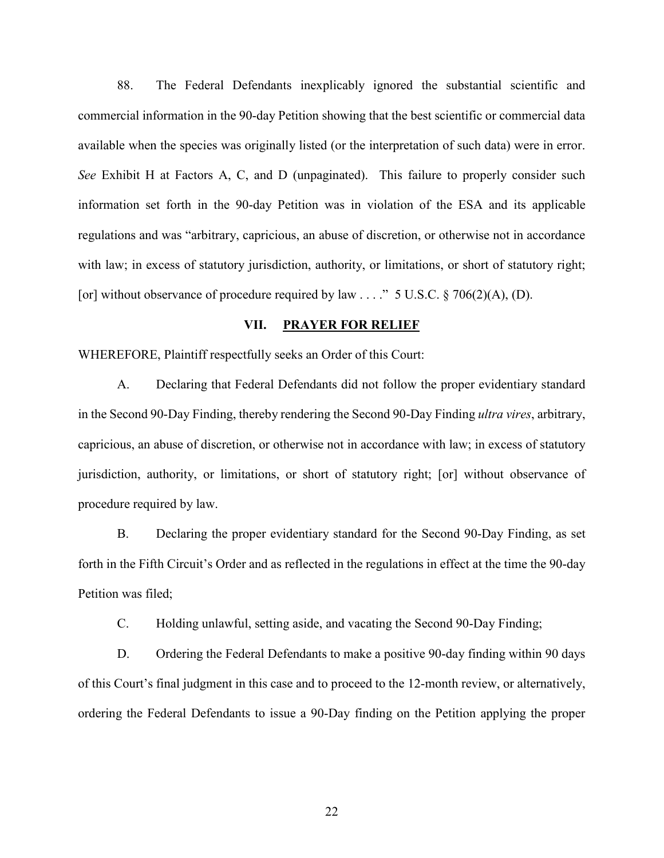88. The Federal Defendants inexplicably ignored the substantial scientific and commercial information in the 90-day Petition showing that the best scientific or commercial data available when the species was originally listed (or the interpretation of such data) were in error. *See* Exhibit H at Factors A, C, and D (unpaginated). This failure to properly consider such information set forth in the 90-day Petition was in violation of the ESA and its applicable regulations and was "arbitrary, capricious, an abuse of discretion, or otherwise not in accordance with law; in excess of statutory jurisdiction, authority, or limitations, or short of statutory right; [or] without observance of procedure required by law  $\dots$ ." 5 U.S.C. § 706(2)(A), (D).

### **VII. PRAYER FOR RELIEF**

WHEREFORE, Plaintiff respectfully seeks an Order of this Court:

A. Declaring that Federal Defendants did not follow the proper evidentiary standard in the Second 90-Day Finding, thereby rendering the Second 90-Day Finding *ultra vires*, arbitrary, capricious, an abuse of discretion, or otherwise not in accordance with law; in excess of statutory jurisdiction, authority, or limitations, or short of statutory right; [or] without observance of procedure required by law.

B. Declaring the proper evidentiary standard for the Second 90-Day Finding, as set forth in the Fifth Circuit's Order and as reflected in the regulations in effect at the time the 90-day Petition was filed;

C. Holding unlawful, setting aside, and vacating the Second 90-Day Finding;

D. Ordering the Federal Defendants to make a positive 90-day finding within 90 days of this Court's final judgment in this case and to proceed to the 12-month review, or alternatively, ordering the Federal Defendants to issue a 90-Day finding on the Petition applying the proper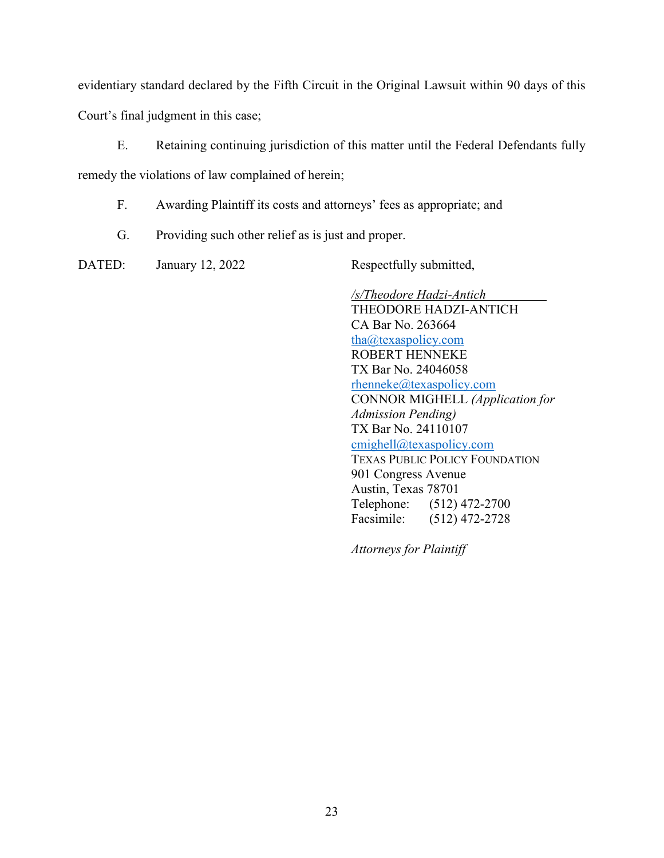evidentiary standard declared by the Fifth Circuit in the Original Lawsuit within 90 days of this

Court's final judgment in this case;

E. Retaining continuing jurisdiction of this matter until the Federal Defendants fully

remedy the violations of law complained of herein;

F. Awarding Plaintiff its costs and attorneys' fees as appropriate; and

G. Providing such other relief as is just and proper.

DATED: January 12, 2022 Respectfully submitted,

*/s/Theodore Hadzi-Antich* THEODORE HADZI-ANTICH CA Bar No. 263664 [tha@texaspolicy.com](mailto:tha@texaspolicy.com) ROBERT HENNEKE TX Bar No. 24046058 [rhenneke@texaspolicy.com](mailto:rhenneke@texaspolicy.com) CONNOR MIGHELL *(Application for Admission Pending)* TX Bar No. 24110107 [cmighell@texaspolicy.com](mailto:cmighell@texaspolicy.com) TEXAS PUBLIC POLICY FOUNDATION 901 Congress Avenue Austin, Texas 78701 Telephone: (512) 472-2700 Facsimile: (512) 472-2728

*Attorneys for Plaintiff*